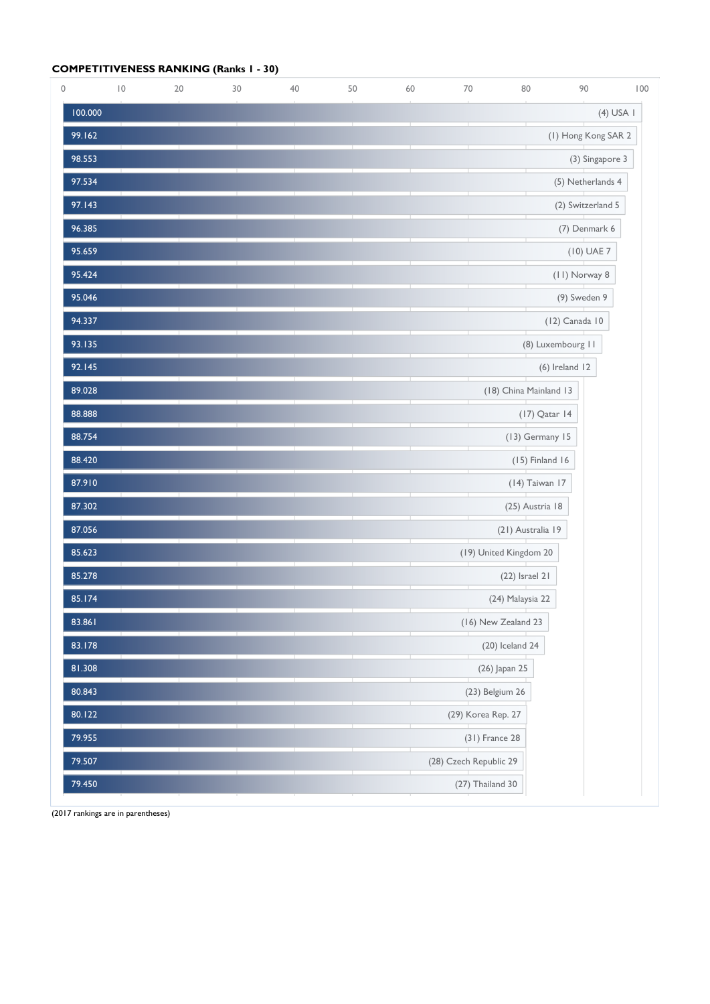## **COMPETITIVENESS RANKING (Ranks 1 - 30)**

| $\mathsf{O}\xspace$ | $\overline{10}$ | $20\,$ | 30 | 40 | 50 | 60 | 70                     | 80                     | 90                  | 100         |
|---------------------|-----------------|--------|----|----|----|----|------------------------|------------------------|---------------------|-------------|
| 100.000             |                 |        |    |    |    |    |                        |                        |                     | $(4)$ USA I |
| 99.162              |                 |        |    |    |    |    |                        |                        | (I) Hong Kong SAR 2 |             |
| 98.553              |                 |        |    |    |    |    |                        |                        | (3) Singapore 3     |             |
| 97.534              |                 |        |    |    |    |    |                        |                        | (5) Netherlands 4   |             |
| 97.143              |                 |        |    |    |    |    |                        |                        | (2) Switzerland 5   |             |
| 96.385              |                 |        |    |    |    |    |                        |                        | (7) Denmark 6       |             |
| 95.659              |                 |        |    |    |    |    |                        |                        | (10) UAE 7          |             |
| 95.424              |                 |        |    |    |    |    |                        |                        | (II) Norway 8       |             |
| 95.046              |                 |        |    |    |    |    |                        |                        | (9) Sweden 9        |             |
| 94.337              |                 |        |    |    |    |    |                        |                        | (12) Canada 10      |             |
| 93.135              |                 |        |    |    |    |    |                        |                        | (8) Luxembourg II   |             |
| 92.145              |                 |        |    |    |    |    |                        |                        | $(6)$ Ireland 12    |             |
| 89.028              |                 |        |    |    |    |    |                        | (18) China Mainland 13 |                     |             |
| 88.888              |                 |        |    |    |    |    |                        | (17) Qatar 14          |                     |             |
| 88.754              |                 |        |    |    |    |    |                        | (13) Germany 15        |                     |             |
| 88.420              |                 |        |    |    |    |    |                        | $(15)$ Finland 16      |                     |             |
| 87.910              |                 |        |    |    |    |    |                        | (14) Taiwan 17         |                     |             |
| 87.302              |                 |        |    |    |    |    |                        | (25) Austria 18        |                     |             |
| 87.056              |                 |        |    |    |    |    |                        | (21) Australia 19      |                     |             |
| 85.623              |                 |        |    |    |    |    |                        | (19) United Kingdom 20 |                     |             |
| 85.278              |                 |        |    |    |    |    |                        | $(22)$ Israel 21       |                     |             |
| 85.174              |                 |        |    |    |    |    |                        | (24) Malaysia 22       |                     |             |
| 83.861              |                 |        |    |    |    |    |                        | (16) New Zealand 23    |                     |             |
| 83.178              |                 |        |    |    |    |    |                        | $(20)$ Iceland 24      |                     |             |
| 81.308              |                 |        |    |    |    |    |                        | (26) Japan 25          |                     |             |
| 80.843              |                 |        |    |    |    |    | (23) Belgium 26        |                        |                     |             |
| 80.122              |                 |        |    |    |    |    | (29) Korea Rep. 27     |                        |                     |             |
| 79.955              |                 |        |    |    |    |    | (31) France 28         |                        |                     |             |
| 79.507              |                 |        |    |    |    |    | (28) Czech Republic 29 |                        |                     |             |
| 79.450              |                 |        |    |    |    |    | (27) Thailand 30       |                        |                     |             |

(2017 rankings are in parentheses)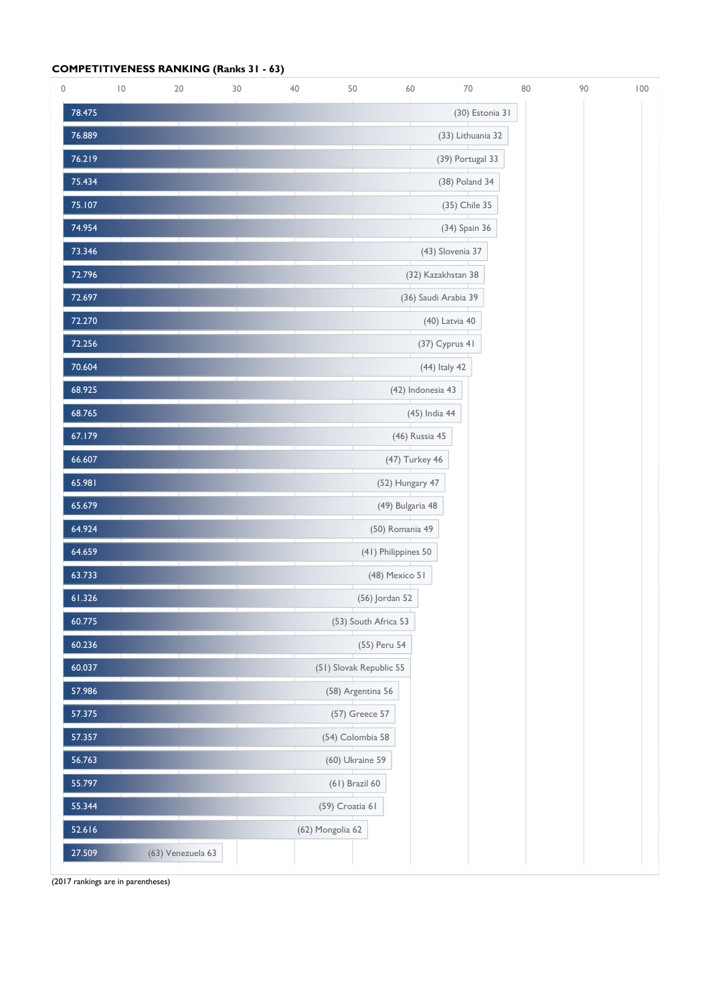## **COMPETITIVENESS RANKING (Ranks 31 - 63)**

| 0      | $\overline{10}$ | 20                | 30 | 40 | 50                      | 60                  | $70\,$               | 80 | 90 | 100 |
|--------|-----------------|-------------------|----|----|-------------------------|---------------------|----------------------|----|----|-----|
| 78.475 |                 |                   |    |    |                         |                     | (30) Estonia 31      |    |    |     |
| 76.889 |                 |                   |    |    |                         |                     | (33) Lithuania 32    |    |    |     |
| 76.219 |                 |                   |    |    |                         |                     | (39) Portugal 33     |    |    |     |
| 75.434 |                 |                   |    |    |                         |                     | (38) Poland 34       |    |    |     |
| 75.107 |                 |                   |    |    |                         |                     | (35) Chile 35        |    |    |     |
| 74.954 |                 |                   |    |    |                         |                     | (34) Spain 36        |    |    |     |
| 73.346 |                 |                   |    |    |                         |                     | (43) Slovenia 37     |    |    |     |
| 72.796 |                 |                   |    |    |                         |                     | (32) Kazakhstan 38   |    |    |     |
| 72.697 |                 |                   |    |    |                         |                     | (36) Saudi Arabia 39 |    |    |     |
| 72.270 |                 |                   |    |    |                         |                     | (40) Latvia 40       |    |    |     |
| 72.256 |                 |                   |    |    |                         |                     | (37) Cyprus 41       |    |    |     |
| 70.604 |                 |                   |    |    |                         |                     | (44) Italy 42        |    |    |     |
| 68.925 |                 |                   |    |    |                         | (42) Indonesia 43   |                      |    |    |     |
| 68.765 |                 |                   |    |    |                         | (45) India 44       |                      |    |    |     |
| 67.179 |                 |                   |    |    |                         | (46) Russia 45      |                      |    |    |     |
| 66.607 |                 |                   |    |    |                         | (47) Turkey 46      |                      |    |    |     |
| 65.981 |                 |                   |    |    |                         | (52) Hungary 47     |                      |    |    |     |
| 65.679 |                 |                   |    |    |                         | (49) Bulgaria 48    |                      |    |    |     |
| 64.924 |                 |                   |    |    |                         | (50) Romania 49     |                      |    |    |     |
| 64.659 |                 |                   |    |    |                         | (41) Philippines 50 |                      |    |    |     |
| 63.733 |                 |                   |    |    |                         | (48) Mexico 51      |                      |    |    |     |
| 61.326 |                 |                   |    |    |                         | (56) Jordan 52      |                      |    |    |     |
| 60.775 |                 |                   |    |    | (53) South Africa 53    |                     |                      |    |    |     |
| 60.236 |                 |                   |    |    |                         | (55) Peru 54        |                      |    |    |     |
| 60.037 |                 |                   |    |    | (51) Slovak Republic 55 |                     |                      |    |    |     |
| 57.986 |                 |                   |    |    | (58) Argentina 56       |                     |                      |    |    |     |
| 57.375 |                 |                   |    |    | (57) Greece 57          |                     |                      |    |    |     |
| 57.357 |                 |                   |    |    | (54) Colombia 58        |                     |                      |    |    |     |
| 56.763 |                 |                   |    |    | (60) Ukraine 59         |                     |                      |    |    |     |
| 55.797 |                 |                   |    |    | (61) Brazil 60          |                     |                      |    |    |     |
| 55.344 |                 |                   |    |    | (59) Croatia 61         |                     |                      |    |    |     |
| 52.616 |                 |                   |    |    | (62) Mongolia 62        |                     |                      |    |    |     |
| 27.509 |                 | (63) Venezuela 63 |    |    |                         |                     |                      |    |    |     |

(2017 rankings are in parentheses)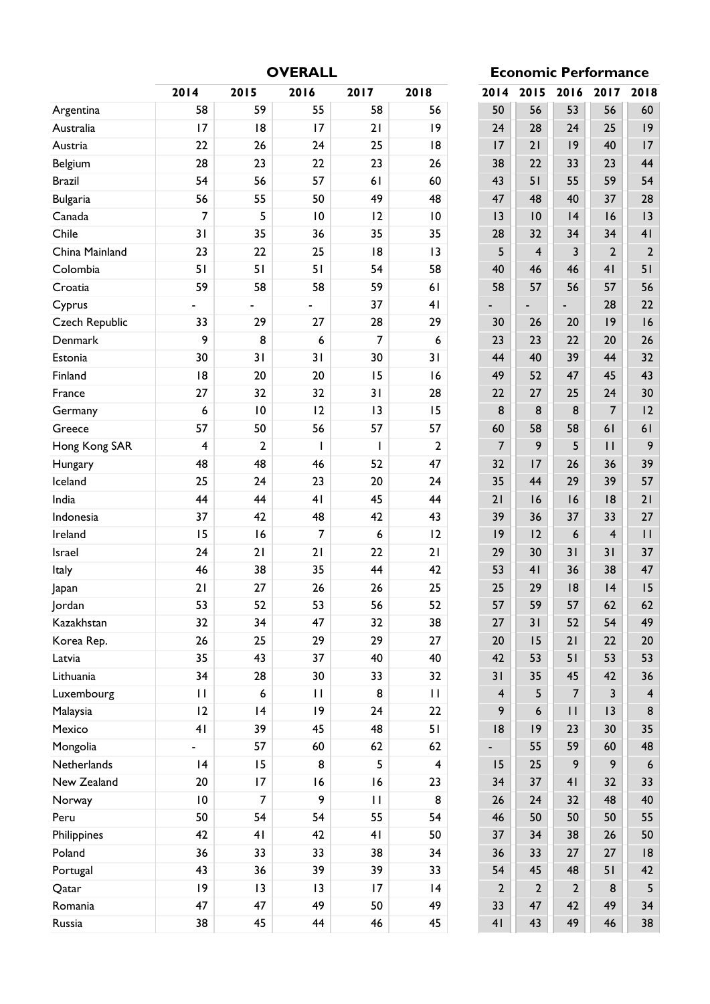**OVERALL Economic Performance**

|                       | 2014                     | 2015            | 2016         | 2017           | 2018                    | 2014           | 2015         | 2016           | 2017           | 2018                    |
|-----------------------|--------------------------|-----------------|--------------|----------------|-------------------------|----------------|--------------|----------------|----------------|-------------------------|
| Argentina             | 58                       | 59              | 55           | 58             | 56                      | 50             | 56           | 53             | 56             | 60                      |
| Australia             | 17                       | 8               | 17           | 21             | 9                       | 24             | 28           | 24             | 25             | 9                       |
| Austria               | 22                       | 26              | 24           | 25             | 8                       | 17             | 21           | 9              | 40             | 17                      |
| Belgium               | 28                       | 23              | 22           | 23             | 26                      | 38             | 22           | 33             | 23             | 44                      |
| <b>Brazil</b>         | 54                       | 56              | 57           | 61             | 60                      | 43             | 51           | 55             | 59             | 54                      |
| <b>Bulgaria</b>       | 56                       | 55              | 50           | 49             | 48                      | 47             | 48           | 40             | 37             | 28                      |
| Canada                | 7                        | 5               | 10           | 12             | 10                      | 3              | 10           | 4              | 16             | 13                      |
| Chile                 | 31                       | 35              | 36           | 35             | 35                      | 28             | 32           | 34             | 34             | 41                      |
| China Mainland        | 23                       | 22              | 25           | 18             | 13                      | 5              | 4            | 3              | $\overline{2}$ | $\overline{2}$          |
| Colombia              | 51                       | 51              | 51           | 54             | 58                      | 40             | 46           | 46             | 4 <sub>1</sub> | 51                      |
| Croatia               | 59                       | 58              | 58           | 59             | 61                      | 58             | 57           | 56             | 57             | 56                      |
| Cyprus                | $\overline{\phantom{0}}$ |                 |              | 37             | 41                      |                |              |                | 28             | 22                      |
| <b>Czech Republic</b> | 33                       | 29              | 27           | 28             | 29                      | 30             | 26           | 20             | 9              | 16                      |
| Denmark               | 9                        | 8               | 6            | $\overline{7}$ | 6                       | 23             | 23           | 22             | 20             | 26                      |
| Estonia               | 30                       | 31              | 31           | 30             | 31                      | 44             | 40           | 39             | 44             | 32                      |
| Finland               | 8                        | 20              | 20           | 15             | 16                      | 49             | 52           | 47             | 45             | 43                      |
| France                | 27                       | 32              | 32           | 31             | 28                      | 22             | 27           | 25             | 24             | 30                      |
| Germany               | 6                        | $\overline{10}$ | 12           | 13             | 15                      | 8              | 8            | 8              | $\overline{7}$ | 12                      |
| Greece                | 57                       | 50              | 56           | 57             | 57                      | 60             | 58           | 58             | 61             | 61                      |
| Hong Kong SAR         | $\overline{\mathbf{4}}$  | $\overline{2}$  | $\mathbf{I}$ | $\mathbf{I}$   | $\overline{2}$          | $\overline{7}$ | 9            | 5              | $\mathbf{H}$   | 9                       |
| Hungary               | 48                       | 48              | 46           | 52             | 47                      | 32             | 17           | 26             | 36             | 39                      |
| Iceland               | 25                       | 24              | 23           | 20             | 24                      | 35             | 44           | 29             | 39             | 57                      |
| India                 | 44                       | 44              | 41           | 45             | 44                      | 21             | 16           | 16             | 8              | 21                      |
| Indonesia             | 37                       | 42              | 48           | 42             | 43                      | 39             | 36           | 37             | 33             | 27                      |
| Ireland               | 15                       | 16              | 7            | 6              | 12                      | 9              | 12           | 6              | $\overline{4}$ | $\mathbf{H}$            |
| Israel                | 24                       | 21              | 21           | 22             | 21                      | 29             | 30           | 31             | 31             | 37                      |
| Italy                 | 46                       | 38              | 35           | 44             | 42                      | 53             | 41           | 36             | 38             | 47                      |
| Japan                 | 21                       | 27              | 26           | 26             | 25                      | 25             | 29           | 18             | 4              | 15                      |
| Jordan                | 53                       | 52              | 53           | 56             | 52                      | 57             | 59           | 57             | 62             | 62                      |
| Kazakhstan            | 32                       | 34              | 47           | 32             | 38                      | 27             | 31           | 52             | 54             | 49                      |
| Korea Rep.            | 26                       | 25              | 29           | 29             | 27                      | 20             | 15           | 21             | 22             | $20\,$                  |
| Latvia                | 35                       | 43              | 37           | 40             | 40                      | 42             | 53           | 51             | 53             | 53                      |
| Lithuania             | 34                       | 28              | 30           | 33             | 32                      | 31             | 35           | 45             | 42             | 36                      |
| Luxembourg            | $\mathbf{H}$             | 6               | $\mathbf{H}$ | 8              | $\mathbf{H}$            | $\overline{4}$ | 5            | $\overline{7}$ | $\overline{3}$ | $\overline{\mathbf{4}}$ |
| Malaysia              | 12                       | 4               | 9            | 24             | 22                      | 9              | 6            | $\mathbf{H}$   | 3              | $\bf 8$                 |
| Mexico                | 4 <sub>l</sub>           | 39              | 45           | 48             | 51                      | 8              | 9            | 23             | 30             | 35                      |
| Mongolia              | $\overline{\phantom{0}}$ | 57              | 60           | 62             | 62                      |                | 55           | 59             | 60             | 48                      |
| Netherlands           | 4                        | 15              | 8            | 5              | $\overline{\mathbf{4}}$ | 15             | 25           | 9              | 9              | 6                       |
| New Zealand           | 20                       | 17              | 16           | 16             | 23                      | 34             | 37           | 41             | 32             | 33                      |
| Norway                | 10                       | 7               | 9            | $\mathbf{H}$   | 8                       | 26             | 24           | 32             | 48             | 40                      |
| Peru                  | 50                       | 54              | 54           | 55             | 54                      | 46             | 50           | 50             | 50             | 55                      |
| Philippines           | 42                       | 41              | 42           | 41             | 50                      | 37             | 34           | 38             | 26             | 50                      |
| Poland                | 36                       | 33              | 33           | 38             | 34                      | 36             | 33           | 27             | 27             | 8                       |
| Portugal              | 43                       | 36              | 39           | 39             | 33                      | 54             | 45           | 48             | 51             | 42                      |
| Qatar                 | 9                        | 13              | 13           | 17             | 4                       | $\overline{2}$ | $\mathbf{2}$ | $\overline{2}$ | 8              | 5                       |
| Romania               | 47                       | 47              | 49           | 50             | 49                      | 33             | 47           | 42             | 49             | 34                      |
| Russia                | 38                       | 45              | 44           | 46             | 45                      | 41             | 43           | 49             | 46             | 38                      |

|                |                         |                  |                | ce             |
|----------------|-------------------------|------------------|----------------|----------------|
| 2014           | 2015                    | 2016             | 2017           | 2018           |
| 50             | 56                      | 53               | 56             | 60             |
| 24             | 28                      | 24               | 25             | 19             |
| 17             | 21                      | 19               | 40             | 17             |
| 38             | 22                      | 33               | 23             | 44             |
| 43             | 51                      | 55               | 59             | 54             |
| 47             | 48                      | 40               | 37             | 28             |
| 13             | 10                      | 4                | 16             | 3              |
| 28             | 32                      | 34               | 34             | 41             |
| 5              | $\overline{\mathbf{4}}$ | 3                | $\overline{2}$ | $\overline{2}$ |
| 40             | 46                      | 46               | 4 <sub>1</sub> | 51             |
| 58             | 57                      | 56               | 57             | 56             |
|                |                         |                  | 28             | 22             |
| 30             | 26                      | 20               | 9              | 16             |
| 23             | 23                      | 22               | 20             | 26             |
| 44             | 40                      | 39               | 44             | 32             |
| 49             | 52                      | 47               | 45             | 43             |
| 22             | 27                      | 25               | 24             | 30             |
| 8              | 8                       | 8                | 7              | 2              |
| 60             | 58                      | 58               | 61             | 61             |
| $\overline{7}$ | 9                       | 5                | П              | 9              |
| 32             | 7                       | 26               | 36             | 39             |
| 35             | 44                      | 29               | 39             | 57             |
| 21             | 16                      | 16               | 8              | 21             |
| 39             | 36                      | 37               | 33             | 27             |
| 9              | 2                       | $\boldsymbol{6}$ | 4              | П              |
| 29             | 30                      | 31               | 31             | 37             |
| 53             | 41                      | 36               | 38             | 47             |
| 25             | 29                      | 18               | 4              | 15             |
| 57             | 59                      | 57               | 62             | 62             |
| 27             | 31                      | 52               | 54             | 49             |
| 20             | 15                      | 21               | 22             | 20             |
| 42             | 53                      | 51               | 53             | 53             |
| 31             | 35                      | 45               | 42             | 36             |
| $\overline{4}$ | 5                       | $\overline{7}$   | 3              | $\overline{4}$ |
| 9              | 6                       | $\mathsf{I}$     | 3              | 8              |
| 18             | 19                      | 23               | 30             | 35             |
|                | 55                      | 59               | 60             | 48             |
| 15             | 25                      | 9                | 9              | 6              |
| 34             | 37                      | 4 <sub>l</sub>   | 32             | 33             |
| 26             | 24                      | 32               | 48             | 40             |
| 46             | 50                      | 50               | 50             | 55             |
| 37             | 34                      | 38               | 26             | 50             |
| 36             | 33                      | 27               | 27             |                |
|                |                         |                  |                | 18             |
| 54             | 45                      | 48               | 51             | 42             |
| $\overline{2}$ | $\overline{2}$          | $\overline{2}$   | 8              | 5              |
| 33             | 47                      | 42               | 49             | 34             |
| 4 <sub>l</sub> | 43                      | 49               | 46             | 38             |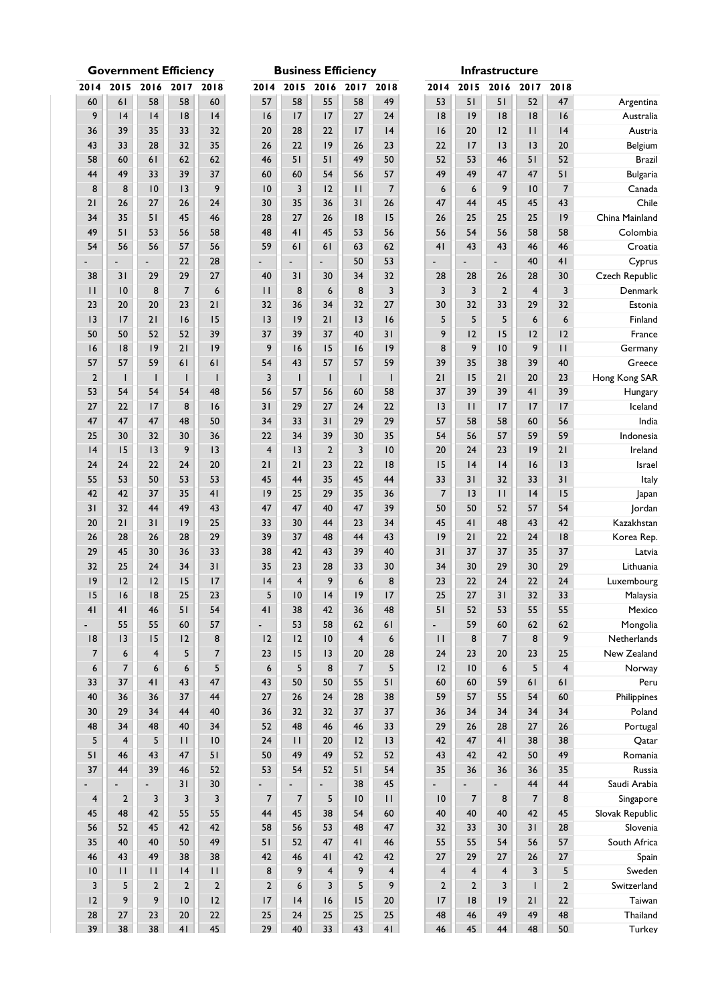|                          |                         | Government Emclency |                          |                         |                          |                          | <b>DUSINESS ENIGHTLY</b> |                         |                         |                         |                         | mirastructure            |                          |                         |
|--------------------------|-------------------------|---------------------|--------------------------|-------------------------|--------------------------|--------------------------|--------------------------|-------------------------|-------------------------|-------------------------|-------------------------|--------------------------|--------------------------|-------------------------|
| 2014                     | 2015                    | 2016                | 2017                     | 2018                    |                          | 2014 2015                | 2016                     |                         | 2017 2018               | 2014                    | 2015                    | 2016                     | 2017                     | 2018                    |
| 60                       | 61                      | 58                  | 58                       | 60                      | 57                       | 58                       | 55                       | 58                      | 49                      | 53                      | 51                      | 51                       | 52                       | 47                      |
| 9                        | 4                       | 4                   | 8                        | 4                       | 16                       | 17                       | 17                       | 27                      | 24                      | 8                       | 9                       | 8                        | 8                        | 16                      |
| 36                       | 39                      | 35                  | 33                       | 32                      | 20                       | 28                       | 22                       | 17                      | 4                       | 16                      | 20                      | 12                       | $\mathbf{H}$             | 4                       |
| 43                       | 33                      | 28                  | 32                       | 35                      | 26                       | 22                       | 9                        | 26                      | 23                      | 22                      | 17                      | 13                       | 13                       | 20                      |
| 58                       | 60                      | 61                  | 62                       | 62                      | 46                       | 51                       | 51                       | 49                      | 50                      | 52                      | 53                      | 46                       | 51                       | 52                      |
| 44                       | 49                      | 33                  | 39                       | 37                      | 60                       | 60                       | 54                       | 56                      | 57                      | 49                      | 49                      | 47                       | 47                       | 51                      |
| 8                        | 8                       | 10                  | 13                       | 9                       | 10                       | 3                        | 12                       | $\mathbf{H}$            | $\boldsymbol{7}$        | $\boldsymbol{6}$        | 6                       | 9                        | 10                       | $\boldsymbol{7}$        |
| 21                       | 26                      | 27                  | 26                       | 24                      | 30                       | 35                       | 36                       | 31                      | 26                      | 47                      | 44                      | 45                       | 45                       | 43                      |
| 34                       | 35                      | 51                  | 45                       | 46                      | 28                       | 27                       | 26                       | 8                       | 15                      | 26                      | 25                      | 25                       | 25                       | 9                       |
|                          |                         |                     |                          |                         |                          |                          |                          |                         |                         |                         |                         |                          |                          |                         |
| 49                       | 51                      | 53                  | 56                       | 58                      | 48                       | 41                       | 45                       | 53                      | 56                      | 56                      | 54                      | 56                       | 58                       | 58                      |
| 54                       | 56                      | 56                  | 57                       | 56                      | 59                       | 61                       | 61                       | 63                      | 62                      | 41                      | 43                      | 43                       | 46                       | 46                      |
|                          |                         |                     | 22                       | 28                      |                          | ÷.                       | $\overline{\phantom{0}}$ | 50                      | 53                      |                         | ÷,                      | $\overline{\phantom{a}}$ | 40                       | 41                      |
| 38                       | 31                      | 29                  | 29                       | 27                      | 40                       | 31                       | 30                       | 34                      | 32                      | 28                      | 28                      | 26                       | 28                       | $30\,$                  |
| $\mathbf{H}$             | 10                      | 8                   | $\overline{7}$           | $\boldsymbol{6}$        | $\mathbf{H}$             | 8                        | 6                        | 8                       | $\overline{\mathbf{3}}$ | 3                       | 3                       | $\mathbf 2$              | $\overline{\mathbf{4}}$  | $\mathsf 3$             |
| 23                       | 20                      | 20                  | 23                       | 21                      | 32                       | 36                       | 34                       | 32                      | 27                      | 30                      | 32                      | 33                       | 29                       | 32                      |
| 3                        | 17                      | 21                  | 16                       | 15                      | 3                        | 9                        | 21                       | 13                      | 16                      | 5                       | 5                       | 5                        | 6                        | $\boldsymbol{6}$        |
| 50                       | 50                      | 52                  | 52                       | 39                      | 37                       | 39                       | 37                       | 40                      | 31                      | 9                       | 12                      | 15                       | 12                       | 12                      |
| 16                       | 8                       | 9                   | 21                       | 9                       | 9                        | 16                       | 15                       | 16                      | 9                       | 8                       | 9                       | 10                       | 9                        | $\mathbf{H}$            |
| 57                       | 57                      | 59                  | 61                       | 61                      | 54                       | 43                       | 57                       | 57                      | 59                      | 39                      | 35                      | 38                       | 39                       | 40                      |
| $\overline{2}$           | $\mathbf{I}$            | $\mathbf{I}$        | $\mathbf{I}$             | $\mathbf{I}$            | $\overline{\mathbf{3}}$  | $\mathbf{I}$             | $\mathbf{I}$             | $\mathbf{I}$            | $\mathbf{I}$            | 21                      | 15                      | 21                       | 20                       | 23                      |
| 53                       | 54                      | 54                  | 54                       | 48                      | 56                       | 57                       | 56                       | 60                      | 58                      | 37                      | 39                      | 39                       | 41                       | 39                      |
| 27                       | 22                      | 17                  | $\bf 8$                  | 16                      | 31                       | 29                       | $27$                     | 24                      | 22                      | 13                      | $\mathbf{H}$            | 17                       | 17                       | 17                      |
| 47                       | 47                      | 47                  | 48                       | 50                      | 34                       | 33                       | 31                       | 29                      | 29                      | 57                      | 58                      | 58                       | 60                       | 56                      |
| 25                       | 30                      | 32                  | 30                       | 36                      | 22                       | 34                       | 39                       | 30                      | 35                      | 54                      | 56                      | 57                       | 59                       | 59                      |
| 4                        | 15                      | 3                   | 9                        | 3                       | $\overline{4}$           | 13                       | $\overline{2}$           | $\overline{\mathbf{3}}$ | $\,$ l $\,$             | 20                      | 24                      | 23                       | 9                        | $21$                    |
| 24                       | 24                      | 22                  | 24                       | 20                      | 21                       | 21                       | 23                       | 22                      | $\sqrt{8}$              | 15                      | 4                       | 4                        | 16                       | 13                      |
| 55                       | 53                      | 50                  | 53                       | 53                      | 45                       | 44                       | 35                       | 45                      | 44                      | 33                      | 31                      | 32                       | 33                       | 31                      |
| 42                       | 42                      | 37                  | 35                       | 41                      | 9                        | 25                       | 29                       | 35                      | 36                      | $\overline{7}$          | 13                      | $\mathbf{H}$             | 4                        | 15                      |
| 31                       | 32                      | 44                  | 49                       | 43                      | 47                       | 47                       | 40                       | 47                      | 39                      | 50                      | 50                      | 52                       | 57                       | 54                      |
| 20                       | 21                      | 31                  | 9                        | 25                      | 33                       | 30                       | 44                       | 23                      | 34                      | 45                      | 41                      | 48                       | 43                       | 42                      |
| 26                       | 28                      | 26                  | 28                       | 29                      | 39                       | 37                       | 48                       | 44                      | 43                      | 9                       | 21                      | 22                       | 24                       | 8                       |
| 29                       | 45                      | 30                  | 36                       | 33                      | 38                       | 42                       | 43                       | 39                      | 40                      | 31                      | 37                      | 37                       | 35                       | 37                      |
| 32                       | 25                      | 24                  | 34                       | 31                      | 35                       | 23                       | 28                       | 33                      | 30                      | 34                      | 30                      | 29                       | 30                       | 29                      |
| 9                        | 12                      | 12                  | 15                       | 17                      | 4                        | 4                        | 9                        | 6                       | 8                       | 23                      | 22                      | 24                       | 22                       | 24                      |
| 15                       | 16                      | 18                  | 25                       | 23                      | 5                        | 10                       | 4                        | 9                       | 17                      | 25                      | 27                      | 31                       | 32                       | 33                      |
| 41                       | 4 <sub>l</sub>          | 46                  | 51                       | 54                      | 41                       | 38                       | 42                       | 36                      | 48                      | 5 <sub>1</sub>          | 52                      | 53                       | 55                       | 55                      |
| $\overline{\phantom{0}}$ | 55                      | 55                  | 60                       | 57                      | $\overline{\phantom{0}}$ | 53                       | 58                       | 62                      | 61                      | $\blacksquare$          | 59                      | 60                       | 62                       |                         |
|                          |                         |                     |                          | $\bf 8$                 |                          |                          |                          | $\overline{4}$          |                         | $\mathbf{H}$            |                         | $\overline{7}$           | 8                        | 62<br>9                 |
| 8                        | 13                      | 15                  | 12                       |                         | 12                       | 12                       | 10                       |                         | $\boldsymbol{6}$        |                         | 8                       |                          |                          |                         |
| $\boldsymbol{7}$         | 6                       | 4                   | 5                        | $\boldsymbol{7}$        | 23                       | 15                       | 13                       | 20                      | 28                      | 24                      | 23                      | 20                       | 23                       | 25                      |
| 6                        | 7                       | 6                   | 6                        | 5                       | $\boldsymbol{6}$         | 5                        | 8                        | $\overline{7}$          | ${\mathsf 5}$           | 12                      | $\overline{10}$         | $\boldsymbol{6}$         | 5                        | $\overline{\mathbf{4}}$ |
| 33                       | 37                      | 41                  | 43                       | 47                      | 43                       | 50                       | 50                       | 55                      | 51                      | 60                      | 60                      | 59                       | 61                       | 61                      |
| 40                       | 36                      | 36                  | 37                       | 44                      | 27                       | 26                       | 24                       | 28                      | 38                      | 59                      | 57                      | 55                       | 54                       | $\bf 60$                |
| 30                       | 29                      | 34                  | 44                       | 40                      | 36                       | 32                       | 32                       | 37                      | 37                      | 36                      | 34                      | 34                       | 34                       | 34                      |
| 48                       | 34                      | 48                  | 40                       | 34                      | 52                       | 48                       | 46                       | 46                      | 33                      | 29                      | 26                      | 28                       | 27                       | $26\,$                  |
| 5                        | $\overline{\mathbf{4}}$ | 5                   | $\mathbf{H}$             | 10                      | 24                       | $\mathbf{H}$             | 20                       | 12                      | 13                      | 42                      | 47                      | 41                       | 38                       | 38                      |
| 51                       | 46                      | 43                  | 47                       | 51                      | 50                       | 49                       | 49                       | 52                      | 52                      | 43                      | 42                      | 42                       | 50                       | 49                      |
| 37                       | 44                      | 39                  | 46                       | 52                      | 53                       | 54                       | 52                       | 51                      | 54                      | 35                      | 36                      | 36                       | 36                       | 35                      |
|                          |                         | $\blacksquare$      | 31                       | 30                      |                          | ÷                        | $\overline{\phantom{a}}$ | 38                      | 45                      | ÷,                      | ÷                       | ÷,                       | 44                       | 44                      |
| $\overline{\mathbf{4}}$  | $\mathbf 2$             | 3                   | $\mathsf 3$              | $\overline{\mathbf{3}}$ | $\overline{7}$           | $\overline{\mathcal{I}}$ | 5                        | 10                      | $\mathbf{H}$            | 10                      | $\overline{7}$          | 8                        | $\overline{\mathcal{I}}$ | $\bf 8$                 |
| 45                       | 48                      | 42                  | 55                       | 55                      | 44                       | 45                       | 38                       | 54                      | 60                      | 40                      | 40                      | 40                       | 42                       | 45                      |
| 56                       | 52                      | 45                  | 42                       | 42                      | 58                       | 56                       | 53                       | 48                      | 47                      | 32                      | 33                      | 30                       | 31                       | 28                      |
| 35                       | 40                      | 40                  | 50                       | 49                      | 51                       | 52                       | 47                       | 41                      | 46                      | 55                      | 55                      | 54                       | 56                       | 57                      |
| 46                       | 43                      | 49                  | 38                       | 38                      | 42                       | 46                       | 41                       | 42                      | 42                      | 27                      | 29                      | 27                       | 26                       | $27\,$                  |
| 10                       | $\mathbf{H}$            | $\mid \; \mid$      | 4                        | $\mathbf{H}$            | 8                        | 9                        | $\overline{\mathbf{4}}$  | 9                       | $\pmb{4}$               | $\overline{4}$          | $\overline{\mathbf{4}}$ | $\overline{\mathbf{4}}$  | 3                        | 5                       |
| $\overline{\mathbf{3}}$  | 5                       | $\mathbf{c}$        | $\mathbf 2$              | $\mathbf 2$             | $\overline{2}$           | 6                        | 3                        | 5                       | 9                       | $\overline{\mathbf{c}}$ | $\mathbf 2$             | $\overline{\mathbf{3}}$  | $\mathbf{I}$             | $\mathbf 2$             |
| 12                       | 9                       | 9                   | $\mathsf{I}\,\mathsf{O}$ | 12                      | 17                       | 4                        | 16                       | 15                      | $20\,$                  | 17                      | 8                       | 9                        | 21                       | $22\,$                  |
| 28                       | $27\,$                  | 23                  | 20                       | $22\,$                  | 25                       | 24                       | 25                       | 25                      | 25                      | 48                      | 46                      | 49                       | 49                       | 48                      |
| 39                       | 38                      | 38                  | 41                       | 45                      | 29                       | 40                       | 33                       | 43                      | 41                      | 46                      | 45                      | 44                       | 48                       | 50                      |

|                         | <b>Government Efficiency</b>                                          |                         |                                                                             |                  |                  |                  |                         | <b>Business Efficiency</b> |                                                                |                          |                         | Infrastructu            |                         |
|-------------------------|-----------------------------------------------------------------------|-------------------------|-----------------------------------------------------------------------------|------------------|------------------|------------------|-------------------------|----------------------------|----------------------------------------------------------------|--------------------------|-------------------------|-------------------------|-------------------------|
| 014                     | 2015                                                                  | 2016                    | 2017                                                                        | 2018             | 2014             | 2015             | 2016                    | 2017                       | 2018                                                           | 2014                     | 2015                    | 2016                    | $\overline{\mathbf{2}}$ |
| 60                      | 61                                                                    | 58                      | 58                                                                          | 60               | 57               | 58               | 55                      | 58                         | 49                                                             | 53                       | 51                      | 51                      |                         |
| 9                       | 4                                                                     | 4                       | 18                                                                          | 4                | 16               | 17               | 17                      | 27                         | 24                                                             | 8                        | 9                       | 18                      |                         |
| 36                      | 39                                                                    | 35                      | 33                                                                          | 32               | 20               | 28               | 22                      | 17                         | 4                                                              | 16                       | 20                      | 12                      |                         |
| 43                      | 33                                                                    | 28                      | 32                                                                          | 35               | 26               | 22               | 9                       | 26                         | 23                                                             | 22                       | 17                      | 13                      |                         |
| 58                      | 60                                                                    | 61                      | 62                                                                          | 62               | 46               | 51               | 51                      | 49                         | 50                                                             | 52                       | 53                      | 46                      |                         |
| 44                      | 49                                                                    | 33                      | 39                                                                          | 37               | 60               | 60               | 54                      | 56                         | 57                                                             | 49                       | 49                      | 47                      |                         |
| 8                       | 8                                                                     | 10                      | 13                                                                          | 9                | 10               | 3                | 12                      | $\mathsf{I}$               | $\overline{7}$                                                 | 6                        | 6                       | 9                       |                         |
| 21                      | 26                                                                    | 27                      | 26                                                                          | 24               | 30               | 35               | 36                      | 31                         | 26                                                             | 47                       | 44                      | 45                      |                         |
| 34                      | 35                                                                    | 51                      | 45                                                                          | 46               | 28               | 27               | 26                      | 8                          | 15                                                             | 26                       | 25                      | 25                      |                         |
| 49                      | 51                                                                    | 53                      | 56                                                                          | 58               | 48               | 41               | 45                      | 53                         | 56                                                             | 56                       | 54                      | 56                      |                         |
| 54                      | 56                                                                    | 56                      | 57                                                                          | 56               | 59               | 61               | 61                      | 63                         | 62                                                             | 4 <sub>1</sub>           | 43                      | 43                      |                         |
|                         | $\overline{\phantom{a}}$                                              |                         | 22                                                                          | 28               |                  | $\blacksquare$   | $\overline{a}$          | 50                         | 53                                                             | $\overline{\phantom{0}}$ | ÷.                      |                         |                         |
| 38                      | 31                                                                    | 29                      | 29                                                                          | 27               | 40               | 31               | 30                      | 34                         | 32                                                             | 28                       | 28                      | 26                      |                         |
| $\mathbf{H}$            | 10                                                                    | 8                       | $\overline{7}$                                                              | $\boldsymbol{6}$ | $\mathbf{H}$     | 8                | 6                       | 8                          | $\mathsf 3$                                                    | 3                        | 3                       | $\mathbf 2$             |                         |
| 23                      | 20                                                                    | 20                      | 23                                                                          | 21               | 32               | 36               | 34                      | 32                         | 27                                                             | 30                       | 32                      | 33                      |                         |
| 3                       | 17                                                                    | 21                      | 16                                                                          | 15               | 13               | 9                | 21                      | 3                          | 16                                                             | 5                        | 5                       | 5                       |                         |
| 50                      | 50                                                                    | 52                      | 52                                                                          | 39               | 37               | 39               | 37                      | 40                         | 31                                                             | 9                        | 12                      | 15                      |                         |
| 16                      | 8                                                                     | 9                       | 21                                                                          | 9                | 9                | 16               | 15                      | 16                         | 9                                                              | 8                        | 9                       | 10                      |                         |
| 57                      | 57                                                                    | 59                      | 61                                                                          | 61               | 54               | 43               | 57                      | 57                         | 59                                                             | 39                       | 35                      | 38                      |                         |
| $\overline{2}$          | $\mathbf{I}$                                                          | $\mathsf{I}$            | $\mathbf{I}$                                                                | $\mathsf{I}$     | 3                | $\mathbf{I}$     | $\mathbf{I}$            | $\overline{1}$             | $\overline{\phantom{a}}$                                       | 21                       | 15                      | 21                      |                         |
| 53                      | 54                                                                    | 54                      | 54                                                                          | 48               | 56               | 57               | 56                      | 60                         | 58                                                             | 37                       | 39                      | 39                      |                         |
| 27                      | 22                                                                    | 17                      | 8                                                                           | 16               | 31               | 29               | 27                      | 24                         | 22                                                             | 3                        | П                       | 17                      |                         |
| 47                      | 47                                                                    | 47                      | 48                                                                          | 50               | 34               | 33               | 31                      | 29                         | 29                                                             | 57                       | 58                      | 58                      |                         |
| 25                      | 30                                                                    | 32                      | 30                                                                          | 36               | 22               | 34               | 39                      | 30                         | 35                                                             | 54                       | 56                      | 57                      |                         |
| 4                       | 15                                                                    | 13                      | 9                                                                           | 3                | $\overline{4}$   | 13               | $\overline{2}$          | $\overline{3}$             | 10                                                             | 20                       | 24                      | 23                      |                         |
| 24                      | 24                                                                    | 22                      | 24                                                                          | 20               | 21               | 21               | 23                      | 22                         | 8                                                              | 15                       | 4                       | 4                       |                         |
| 55                      | 53                                                                    | 50                      | 53                                                                          | 53               | 45               | 44               | 35                      | 45                         | 44                                                             | 33                       | 31                      | 32                      |                         |
| 42                      | 42                                                                    | 37                      | 35                                                                          | 41               | 9                | 25               | 29                      | 35                         | 36                                                             | $\overline{7}$           | 3                       | $\mathbf{H}$            |                         |
| 31                      | 32                                                                    | 44                      | 49                                                                          | 43               | 47               | 47               | 40                      | 47                         | 39                                                             | 50                       | 50                      | 52                      |                         |
| 20                      | 21                                                                    | 31                      | 9                                                                           | 25               | 33               | 30               | 44                      | 23                         | 34                                                             | 45                       | 41                      | 48                      |                         |
| 26                      | 28                                                                    | 26                      | 28                                                                          | 29               | 39               | 37               | 48                      | 44                         | 43                                                             | 9                        | 21                      | 22                      |                         |
| 29                      | 45                                                                    | 30                      | 36                                                                          | 33               | 38               | 42               | 43                      | 39                         | 40                                                             | 31                       | 37                      | 37                      |                         |
| 32                      | 25                                                                    | 24                      | 34                                                                          | 31               | 35               | 23               | 28                      | 33                         | 30                                                             | 34                       | 30                      | 29                      |                         |
| 9                       | 12                                                                    | 12                      | 15                                                                          | 17               | 4                | $\overline{4}$   | 9                       | $6\phantom{1}6$            | 8                                                              | 23                       | 22                      | 24                      |                         |
| 15                      | $\overline{16}$                                                       | 18                      | 25                                                                          | 23               | 5                | $\overline{10}$  | 4                       | 19                         | 17                                                             | 25                       | 27                      | 31                      |                         |
| 41                      | 41                                                                    | 46                      | 51                                                                          | 54               | 41               | 38               | 42                      | 36                         | 48                                                             | 51                       | 52                      | 53                      |                         |
|                         | 55                                                                    | 55                      | 60                                                                          | 57               |                  | 53               | 58                      | 62                         | 61                                                             | $\blacksquare$           | 59                      | 60                      |                         |
| 8                       | 13                                                                    | 15                      | 12                                                                          | 8                | 12               | 12               | 10                      | $\overline{\mathbf{4}}$    | $\boldsymbol{6}$                                               | $\mathbf{H}$             | 8                       | $\overline{7}$          |                         |
| $\overline{7}$          | $\boldsymbol{6}$                                                      | $\overline{\mathbf{4}}$ | 5                                                                           | $\boldsymbol{7}$ | 23               | 15               | 13                      | 20                         | 28                                                             | 24                       | 23                      | 20                      |                         |
| $\boldsymbol{6}$        | $\overline{7}$                                                        | 6                       | 6                                                                           | 5                | $\boldsymbol{6}$ | 5                | 8                       | $\overline{7}$             | 5                                                              | 12                       | 10                      | $\boldsymbol{6}$        |                         |
| 33                      | 37                                                                    | 41                      | 43                                                                          | 47               | 43               | 50               | 50                      | 55                         | 51                                                             | 60                       | 60                      | 59                      |                         |
| 40                      | 36                                                                    | 36                      | 37                                                                          | 44               | 27               | 26               | 24                      | 28                         | 38                                                             | 59                       | 57                      | 55                      |                         |
| 30                      | 29                                                                    | 34                      | 44                                                                          | 40               | 36               | 32               | 32                      | 37                         | 37                                                             | 36                       | 34                      | 34                      |                         |
| 48                      | 34                                                                    | 48                      | 40                                                                          | 34               | 52               | 48               | 46                      | 46                         | 33                                                             | 29                       | 26                      | 28                      |                         |
| 5<br>51                 | $\overline{\mathbf{4}}$                                               | 5                       | $\mathsf{H}% _{k}\left( t\right) \equiv\mathsf{H}_{k}\left( t\right)$<br>47 | 10<br>51         | 24               | П                | 20<br>49                | 2<br>52                    | 13<br>52                                                       | 42                       | 47                      | 41<br>42                |                         |
|                         | 46                                                                    | 43                      |                                                                             | 52               | 50               | 49               |                         | 51                         | 54                                                             | 43                       | 42                      |                         |                         |
| 37                      | 44                                                                    | 39                      | 46<br>31                                                                    | $30$             | 53               | 54               | 52                      | 38                         | 45                                                             | 35<br>- 1                | 36                      | 36                      |                         |
| $\overline{\mathbf{4}}$ | $\mathbf 2$                                                           | 3                       | $\overline{\mathbf{3}}$                                                     | $\mathsf 3$      | $\overline{7}$   | $\boldsymbol{7}$ | 5                       | 10                         | $\mathsf{H}% _{T}=\mathsf{H}_{T}\left( \mathcal{M}_{T}\right)$ | 10                       | ۰.<br>$\overline{7}$    | 8                       |                         |
| 45                      | 48                                                                    | 42                      | 55                                                                          | 55               | 44               | 45               | 38                      | 54                         | 60                                                             | 40                       | 40                      | 40                      |                         |
| 56                      | 52                                                                    | 45                      | 42                                                                          | 42               | 58               | 56               | 53                      | 48                         | 47                                                             | 32                       | 33                      | 30                      |                         |
| 35                      | 40                                                                    | 40                      | 50                                                                          | 49               | 51               | 52               | 47                      | 41                         | 46                                                             | 55                       | 55                      | 54                      |                         |
| 46                      | 43                                                                    | 49                      | 38                                                                          | 38               | 42               | 46               | 41                      | 42                         | 42                                                             | 27                       | 29                      | 27                      |                         |
| 10                      | $\mathsf{H}% _{k}\left( t\right) \equiv\mathsf{H}_{k}\left( t\right)$ | П                       | 4                                                                           | $\mathbf{I}$     | 8                | 9                | $\overline{\mathbf{4}}$ | 9                          | $\overline{\mathbf{4}}$                                        | $\overline{\mathbf{4}}$  | $\overline{\mathbf{r}}$ | $\overline{\mathbf{4}}$ |                         |
| $\mathsf 3$             | 5                                                                     | $\mathbf 2$             | $\overline{2}$                                                              | $\mathbf 2$      | $\overline{2}$   | $\boldsymbol{6}$ | 3                       | 5                          | 9                                                              | $\overline{2}$           | $\mathbf{2}$            | 3                       |                         |
| 12                      | 9                                                                     | 9                       | 10                                                                          | 12               | 17               | 4                | 16                      | 15                         | $20\,$                                                         | 17                       | 8                       | 9                       |                         |
| 28                      | 27                                                                    | 23                      | 20                                                                          | $22\,$           | 25               | $24\,$           | 25                      | 25                         | 25                                                             | 48                       | 46                      | 49                      |                         |
|                         |                                                                       |                         |                                                                             |                  |                  |                  |                         |                            |                                                                |                          |                         |                         |                         |

|  | Infrastructure |  |  |
|--|----------------|--|--|
|  |                |  |  |

|                 | 2018                    | 2017           | 2016           | 2015                     | 2014           | 2018           | 2017           | 2016           | 2015           | 2014           | 2018           | 2017           | 2016           | 2015           | 2014           |
|-----------------|-------------------------|----------------|----------------|--------------------------|----------------|----------------|----------------|----------------|----------------|----------------|----------------|----------------|----------------|----------------|----------------|
| Argentina       | 47                      | 52             | 51             | 51                       | 53             | 49             | 58             | 55             | 58             | 57             | 60             | 58             | 58             | 61             | 60             |
| Australia       | 16                      | 18             | 8              | 9                        | 18             | 24             | 27             | 17             | 17             | 16             | 4              | 18             | 4              | 4              | 9              |
| Austria         | 4                       | П              | 12             | 20                       | 16             | 4              | 17             | 22             | 28             | 20             | 32             | 33             | 35             | 39             | 36             |
| Belgium         | 20                      | 3              | 3              | 17                       | 22             | 23             | 26             | 9              | 22             | 26             | 35             | 32             | 28             | 33             | 43             |
| Brazil          | 52                      | 51             | 46             | 53                       | 52             | 50             | 49             | 51             | 51             | 46             | 62             | 62             | 61             | 60             | 58             |
| <b>Bulgaria</b> | 51                      | 47             | 47             | 49                       | 49             | 57             | 56             | 54             | 60             | 60             | 37             | 39             | 33             | 49             | 44             |
| Canada          | $\overline{7}$          | 10             | 9              | 6                        | 6              | $\overline{7}$ | $\mathbf{H}$   | 12             | 3              | 10             | 9              | 3              | 10             | 8              | 8              |
| Chile           | 43                      | 45             | 45             | 44                       | 47             | 26             | 31             | 36             | 35             | 30             | 24             | 26             | 27             | 26             | 21             |
| China Mainland  | 9                       | 25             | 25             | 25                       | 26             | 15             | 8              | 26             | 27             | 28             | 46             | 45             | 51             | 35             | 34             |
| Colombia        | 58                      | 58             | 56             | 54                       | 56             | 56             | 53             | 45             | 41             | 48             | 58             | 56             | 53             | 51             | 49             |
| Croatia         | 46                      | 46             | 43             | 43                       | 41             | 62             | 63             | 61             | 61             | 59             | 56             | 57             | 56             | 56             | 54             |
| Cyprus          | 41                      | 40             |                |                          |                | 53             | 50             |                |                |                | 28             | 22             |                |                |                |
| Czech Republic  | 30                      | 28             | 26             | 28                       | 28             | 32             | 34             | 30             | 31             | 40             | 27             | 29             | 29             | 31             | 38             |
| Denmark         | 3                       | $\overline{4}$ | $\overline{2}$ | 3                        | 3              | 3              | 8              | 6              | 8              | $\mathbf{H}$   | 6              | $\overline{7}$ | 8              | 10             | $\mathbf{H}$   |
| Estonia         | 32                      | 29             | 33             | 32                       | 30             | 27             | 32             | 34             | 36             | 32             | 21             | 2 <sub>3</sub> | 20             | 20             | 23             |
| Finland         | 6                       | 6              | 5              | 5                        | 5              | 16             | 3              | 21             | 9              | 3              | 15             | 16             | 21             | 17             | 3              |
| France          | 12                      | 12             | 15             | 12                       | 9              | 31             | 40             | 37             | 39             | 37             | 39             | 52             | 52             | 50             | 50             |
| Germany         | $\mathbf{H}$            | 9              | 10             | 9                        | 8              | 9              | 16             | 15             | 16             | 9              | 9              | 21             | 9              | 8              | 16             |
| Greece          | 40                      | 39             | 38             | 35                       | 39             | 59             | 57             | 57             | 43             | 54             | 61             | 61             | 59             | 57             | 57             |
| Hong Kong SAR   | 23                      | 20             | 21             | 15                       | 21             | ı              | T              | $\mathsf{I}$   | T              | 3              | $\mathsf{I}$   | ı              | $\mathbf{I}$   | $\mathbf{I}$   | $\overline{2}$ |
| Hungary         | 39                      | 41             | 39             | 39                       | 37             | 58             | 60             | 56             | 57             | 56             | 48             | 54             | 54             | 54             | 53             |
| Iceland         | 17                      | 17             | 17             | П                        | 13             | 22             | 24             | 27             | 29             | 31             | 16             | 8              | 17             | 22             | 27             |
| India           | 56                      | 60             | 58             | 58                       | 57             | 29             | 29             | 31             | 33             | 34             | 50             | 48             | 47             | 47             | 47             |
| Indonesia       | 59                      | 59             | 57             | 56                       | 54             | 35             | 30             | 39             | 34             | 22             | 36             | 30             | 32             | 30             | 25             |
| Ireland         | 21                      | 9              | 23             | 24                       | 20             | 10             | 3              | $\overline{2}$ | 13             | 4              | 3              | 9              | 3              | 15             | 4              |
| Israel          | 13                      | 16             | 4              | 4                        | 15             | 8              | 22             | 23             | 21             | 21             | 20             | 24             | 22             | 24             | 24             |
| Italy           | 31                      | 33             | 32             | 31                       | 33             | 44             | 45             | 35             | 44             | 45             | 53             | 53             | 50             | 53             | 55             |
| Japan           | 15                      | 4              | П              | 3                        | $\overline{7}$ | 36             | 35             | 29             | 25             | 9              | 41             | 35             | 37             | 42             | 42             |
| Jordan          | 54                      | 57             | 52             | 50                       | 50             | 39             | 47             | 40             | 47             | 47             | 43             | 49             | 44             | 32             | 31             |
| Kazakhstan      | 42                      | 43             | 48             | 41                       | 45             | 34             | 23             | 44             | 30             | 33             | 25             | 9              | 31             | 21             | 20             |
| Korea Rep.      | 8                       | 24             | 22             | 21                       | 9              | 43             | 44             | 48             | 37             | 39             | 29             | 28             | 26             | 28             | 26             |
| Latvia          | 37                      | 35             | 37             | 37                       | 31             | 40             | 39             | 43             | 42             | 38             | 33             | 36             | 30             | 45             | 29             |
| Lithuania       | 29                      | 30             | 29             | 30                       | 34             | 30             | 33             | 28             | 23             | 35             | 31             | 34             | 24             | 25             | 32             |
| Luxembourg      | 24                      | 22             | 24             | 22                       | 23             | 8              | 6              | 9              | 4              | 4              | 17             | 15             | 12             | 12             | 9              |
| Malaysia        | 33                      | 32             | 31             | 27                       | 25             | 17             | 9              | 4              | 10             | 5              | 23             | 25             | 18             | 16             | 15             |
| Mexico          | 55                      | 55             | 53             | 52                       | 51             | 48             | 36             | 42             | 38             | 41             | 54             | 51             | 46             | 41             | 41             |
| Mongolia        | 62                      | 62             | 60             | 59                       | $\overline{a}$ | 61             | 62             | 58             | 53             |                | 57             | 60             | 55             | 55             |                |
| Netherlands     | 9                       | 8              | $\overline{7}$ | 8                        | $\mathbf{H}$   | 6              | $\overline{4}$ | 10             | 12             | 12             | 8              | 12             | 15             | 3              | 8              |
| New Zealand     | 25                      | 23             | 20             | 23                       | 24             | 28             | 20             | 3              | 15             | 23             | $\overline{7}$ | 5              | $\overline{4}$ | 6              | 7              |
| Norway          | $\overline{\mathbf{4}}$ | 5              | 6              | 10                       | 12             | 5              | $\overline{7}$ | 8              | 5              | 6              | 5              | $6\phantom{1}$ | 6              | $\overline{7}$ | 6              |
| Peru            | 61                      | 61             | 59             | 60                       | 60             | 51             | 55             | 50             | 50             | 43             | 47             | 43             | 41             | 37             | 33             |
| Philippines     | 60                      | 54             | 55             | 57                       | 59             | 38             | 28             | 24             | 26             | 27             | 44             | 37             | 36             | 36             | 40             |
| Poland          | 34                      | 34             | 34             | 34                       | 36             | 37             | 37             | 32             | 32             | 36             | 40             | 44             | 34             | 29             | 30             |
| Portugal        | 26                      | 27             | 28             | 26                       | 29             | 33             | 46             | 46             | 48             | 52             | 34             | 40             | 48             | 34             | 48             |
| Qatar           | 38                      | 38             | 41             | 47                       | 42             | 13             | 12             | 20             | $\mathbf{H}$   | 24             | 10             | $\mathbf{H}$   | 5              | $\overline{4}$ | 5              |
| Romania         | 49                      | 50             | 42             | 42                       | 43             | 52             | 52             | 49             | 49             | 50             | 51             | 47             | 43             | 46             | 51             |
| Russia          | 35                      | 36             | 36             | 36                       | 35             | 54             | 51             | 52             | 54             | 53             | 52             | 46             | 39             | 44             | 37             |
| Saudi Arabia    | 44                      | 44             |                |                          |                | 45             | 38             |                |                | ۰,             | 30             | 31             |                |                |                |
| Singapore       | 8                       | $\overline{7}$ | 8              | $\overline{\phantom{a}}$ | 10             | П              | 10             | 5              | $\overline{7}$ | $\overline{7}$ | 3              | 3              | 3              | $\overline{2}$ | $\overline{4}$ |
| Slovak Republic | 45                      | 42             | 40             | 40                       | 40             | 60             | 54             | 38             | 45             | 44             | 55             | 55             | 42             | 48             | 45             |
| Slovenia        | 28                      | 31             | 30             | 33                       | 32             | 47             | 48             | 53             | 56             | 58             | 42             | 42             | 45             | 52             | 56             |
| South Africa    | 57                      | 56             | 54             | 55                       | 55             | 46             | 41             | 47             | 52             | 51             | 49             | 50             | 40             | 40             | 35             |
| Spain           | 27                      | 26             | 27             | 29                       | 27             | 42             | 42             | 41             | 46             | 42             | 38             | 38             | 49             | 43             | 46             |
| Sweden          | 5                       | 3              | $\overline{4}$ | $\overline{4}$           | $\overline{4}$ | 4              | 9              | $\overline{4}$ | 9              | 8              | $\mathbf{H}$   | 4              | $\mathsf{H}$   | П              | 10             |
| Switzerland     | $\overline{2}$          | $\mathsf{I}$   | 3              | $\overline{2}$           | $\overline{2}$ | 9              | 5              | 3              | 6              | $\overline{2}$ | $\overline{2}$ | $\overline{2}$ | $\overline{2}$ | 5              | 3              |
| Taiwan          | 22                      | 21             | 9              | 18                       | 17             | 20             | 15             | 16             | 4              | 17             | 12             | 10             | 9              | 9              | 12             |
| Thailand        | 48                      | 49             | 49             | 46                       | 48             | 25             | 25             | 25             | 24             | 25             | 22             | 20             | 23             | 27             | 28             |
| Turkey          | 50                      | 48             | 44             | 45                       | 46             | 41             | 43             | 33             | 40             | 29             | 45             | 41             | 38             | 38             | 39             |
|                 |                         |                |                |                          |                |                |                |                |                |                |                |                |                |                |                |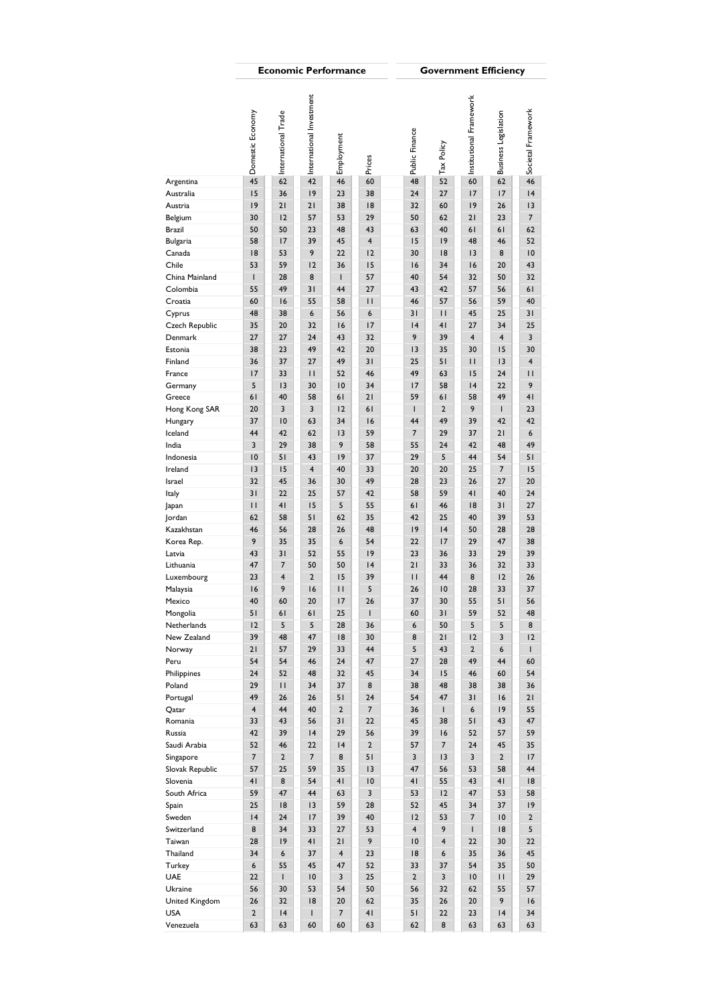|                         |                  |                     |                          | <b>Economic Performance</b> |                 |                         |                    | <b>Government Efficiency</b> |                             |                         |
|-------------------------|------------------|---------------------|--------------------------|-----------------------------|-----------------|-------------------------|--------------------|------------------------------|-----------------------------|-------------------------|
|                         | Domestic Economy | International Trade | International Investment | Employment                  | Prices          | Public Finance          | Tax Policy         | Institutional Framework      | <b>Business Legislation</b> | Societal Framework      |
| Argentina               | 45               | 62                  | $42\,$                   | 46                          | 60              | 48                      | 52                 | 60                           | 62                          | 46                      |
| Australia               | 15               | 36                  | 9                        | 23                          | 38              | 24                      | 27                 | 17                           | 17                          | 4                       |
| Austria                 | 9                | 21                  | 21                       | 38                          | 8               | 32                      | 60                 | 9                            | 26                          | 13                      |
| Belgium                 | 30               | 12                  | 57                       | 53                          | 29              | 50                      | 62                 | 21                           | 23                          | $\overline{7}$          |
| Brazil                  | 50               | 50                  | 23                       | 48                          | 43              | 63                      | 40                 | 61                           | 61                          | 62                      |
|                         | 58               | 17                  | 39                       | 45                          | $\overline{4}$  | 15                      | 9                  | 48                           | 46                          | 52                      |
| Bulgaria<br>Canada      | 8                | 53                  | 9                        | 22                          | 12              | 30                      | 8                  | 13                           | 8                           | 10                      |
| Chile                   | 53               | 59                  | 12                       | 36                          | 15              | 16                      | 34                 | 16                           | 20                          | 43                      |
|                         |                  |                     |                          | $\mathbf{I}$                |                 |                         |                    |                              |                             |                         |
| China Mainland          | $\mathsf{I}$     | 28                  | 8                        |                             | 57              | 40                      | 54                 | 32                           | 50                          | 32                      |
| Colombia                | 55               | 49                  | 31                       | 44                          | 27              | 43                      | 42                 | 57                           | 56                          | 61                      |
| Croatia                 | 60<br>48         | 16<br>38            | 55<br>$\boldsymbol{6}$   | 58<br>56                    | $\mathbf{H}$    | 46                      | 57                 | 56<br>45                     | 59<br>25                    | 40<br>31                |
| Cyprus                  |                  |                     | 32                       |                             | 6               | 31                      | $\mathbf{H}$<br>41 | 27                           |                             | 25                      |
| Czech Republic          | 35               | 20                  |                          | 16                          | 17              | 4                       |                    |                              | 34                          |                         |
| Denmark                 | 27               | 27                  | 24                       | 43                          | 32              | 9                       | 39                 | $\overline{4}$               | $\overline{4}$              | $\overline{\mathbf{3}}$ |
| Estonia                 | 38               | 23                  | 49                       | 42                          | 20              | 13                      | 35                 | 30                           | 15                          | 30                      |
| Finland                 | 36               | 37                  | 27                       | 49                          | 31              | 25                      | 51                 | П                            | 13                          | $\overline{4}$          |
| France                  | 17               | 33                  | П                        | 52                          | 46              | 49                      | 63                 | 15                           | 24                          | Ш                       |
| Germany                 | 5                | 3                   | 30                       | 10                          | 34              | 17                      | 58                 | 4                            | 22                          | 9                       |
| Greece                  | 61               | 40                  | 58                       | 61                          | 21              | 59                      | 61                 | 58                           | 49                          | 41                      |
| Hong Kong SAR           | 20               | 3                   | 3                        | 12                          | 61              | $\mathbf{I}$            | $\overline{2}$     | 9                            | T                           | 23                      |
| Hungary                 | 37               | 10                  | 63                       | 34                          | 16              | 44                      | 49                 | 39                           | 42                          | 42                      |
| lceland                 | 44               | 42                  | 62                       | 3                           | 59              | $\overline{7}$          | 29                 | 37                           | 21                          | 6                       |
| India                   | 3                | 29                  | 38                       | 9<br> 9                     | 58              | 55<br>29                | 24<br>5            | 42<br>44                     | 48<br>54                    | 49<br>51                |
| Indonesia<br>Ireland    | 10<br>13         | 51<br>15            | 43<br>$\overline{4}$     | 40                          | 37<br>33        | 20                      | 20                 | 25                           | $\boldsymbol{7}$            | 15                      |
|                         | 32               | 45                  | 36                       | 30                          | 49              | 28                      | 23                 | 26                           | 27                          | 20                      |
| Israel                  | 31               | 22                  | 25                       | 57                          | 42              | 58                      | 59                 | 41                           | 40                          | 24                      |
| ltaly                   |                  |                     |                          |                             |                 |                         |                    |                              |                             |                         |
| Japan                   | $\mathbf{H}$     | 41                  | 15                       | 5                           | 55              | 61                      | 46                 | 8                            | 31                          | 27                      |
| Jordan                  | 62               | 58                  | 51                       | 62                          | 35              | 42                      | 25                 | 40                           | 39                          | 53                      |
| Kazakhstan              | 46               | 56                  | 28                       | 26                          | 48              | 9                       | 4                  | 50                           | 28                          | 28                      |
| Korea Rep.              | 9                | 35                  | 35                       | $\boldsymbol{6}$            | 54              | 22                      | 17                 | 29                           | 47                          | 38                      |
| Latvia                  | 43               | 31                  | 52                       | 55                          | 9               | 23                      | 36                 | 33                           | 29                          | 39                      |
| Lithuania               | 47               | $\overline{7}$      | 50                       | 50                          | 4               | 21                      | 33                 | 36                           | 32                          | 33                      |
| Luxembourg              | 23               | $\overline{4}$      | $\overline{2}$           | 15                          | 39              | П                       | 44                 | 8                            | 12                          | 26                      |
| Malaysia                | 16               | 9                   | 16                       | $\mathsf{H}$                | 5               | 26                      | 10                 | 28                           | 33                          | 37                      |
| Mexico                  | 40<br>51         | 60                  | 20<br>61                 | 17<br>25                    | 26              | 37<br>60                | 30<br>31           | 55<br>59                     | 51<br>52                    | 56<br>48                |
| Mongolia<br>Netherlands | 12               | 61<br>5             | 5                        | 28                          | $\perp$<br>36   | 6                       | 50                 | 5                            | 5                           | 8                       |
| New Zealand             | 39               | 48                  | 47                       | 8                           | 30              | 8                       | 21                 | 12                           | 3                           | 2                       |
| Norway                  | 21               | 57                  | 29                       | 33                          | 44              | 5                       | 43                 | $\overline{2}$               | $\boldsymbol{6}$            | $\mathsf{I}$            |
| Peru                    | 54               | 54                  | 46                       | 24                          | 47              | 27                      | 28                 | 49                           | 44                          | 60                      |
| Philippines             | 24               | 52                  | 48                       | 32                          | 45              | 34                      | 15                 | 46                           | 60                          | 54                      |
| Poland                  | 29               | П                   | 34                       | 37                          | 8               | 38                      | 48                 | 38                           | 38                          | 36                      |
| Portugal                | 49               | 26                  | 26                       | 51                          | 24              | 54                      | 47                 | 31                           | 16                          | 21                      |
| Qatar                   | $\overline{4}$   | 44                  | 40                       | $\overline{2}$              | $\overline{7}$  | 36                      | $\mathbf{I}$       | $\epsilon$                   | 9                           | 55                      |
| Romania                 | 33               | 43                  | 56                       | 31                          | 22              | 45                      | 38                 | 51                           | 43                          | 47                      |
| Russia                  | 42               | 39                  | 4                        | 29                          | 56              | 39                      | 16                 | 52                           | 57                          | 59                      |
| Saudi Arabia            | 52               | 46                  | 22                       | 4                           | $\overline{2}$  | 57                      | $\overline{7}$     | 24                           | 45                          | 35                      |
| Singapore               | $\overline{7}$   | $\overline{2}$      | $\overline{7}$           | 8                           | 51              | $\overline{\mathbf{3}}$ | 3                  | $\overline{3}$               | $\overline{2}$              | 17                      |
| Slovak Republic         | 57               | 25                  | 59                       | 35                          | 13              | 47                      | 56                 | 53                           | 58                          | 44                      |
| Slovenia                | 41               | 8                   | 54                       | 41                          | $\overline{10}$ | 41                      | 55                 | 43                           | 41                          | 8                       |
| South Africa            | 59               | 47                  | 44                       | 63                          | 3               | 53                      | 12                 | 47                           | 53                          | 58                      |
| Spain                   | 25               | 18                  | 13                       | 59                          | 28              | 52                      | 45                 | 34                           | 37                          | 9                       |
| Sweden                  | 4                | 24                  | 17                       | 39                          | 40              | 12                      | 53                 | $\overline{7}$               | 10                          | $\overline{2}$          |
| Switzerland             | 8                | 34                  | 33                       | 27                          | 53              | $\overline{4}$          | 9                  | $\mathbf{I}$                 | 8                           | 5                       |
| Taiwan                  | 28               | 9                   | 41                       | 21                          | 9               | 10                      | $\overline{4}$     | 22                           | 30                          | 22                      |
| Thailand                | 34               | 6                   | 37                       | $\overline{4}$              | 23              | 18                      | 6                  | 35                           | 36                          | 45                      |
| Turkey                  | 6                | 55                  | 45                       | 47                          | 52              | 33                      | 37                 | 54                           | 35                          | 50                      |
| UAE                     | 22               | $\mathbf{I}$        | 10                       | $\overline{\mathbf{3}}$     | 25              | $\overline{2}$          | 3                  | $\overline{10}$              | П                           | 29                      |
| Ukraine                 | 56               | 30                  | 53                       | 54                          | 50              | 56                      | 32                 | 62                           | 55                          | 57                      |
| United Kingdom          | 26               | 32                  | 8                        | 20                          | 62              | 35                      | 26                 | 20                           | 9                           | 16                      |
| USA                     | $\overline{2}$   | 4                   | $\mathbf{I}$             | $\overline{7}$              | 41              | 51                      | 22                 | 23                           | 4                           | 34                      |
| Venezuela               | 63               | 63                  | 60                       | 60                          | 63              | 62                      | $\bf 8$            | 63                           | 63                          | 63                      |